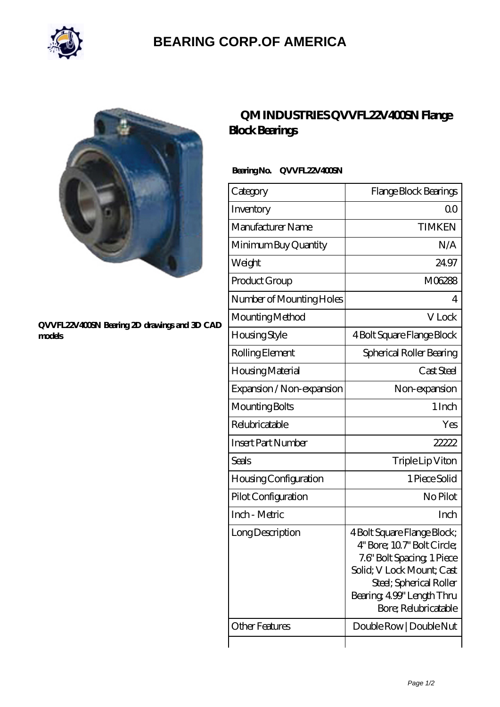

## **[BEARING CORP.OF AMERICA](https://m.bluemondayreview.com)**



#### **[QVVFL22V400SN Bearing 2D drawings and 3D CAD](https://m.bluemondayreview.com/pic-175515.html) [models](https://m.bluemondayreview.com/pic-175515.html)**

## **[QM INDUSTRIES QVVFL22V400SN Flange](https://m.bluemondayreview.com/ar-175515-qm-industries-qvvfl22v400sn-flange-block-bearings.html) [Block Bearings](https://m.bluemondayreview.com/ar-175515-qm-industries-qvvfl22v400sn-flange-block-bearings.html)**

### **Bearing No. QVVFL22V400SN**

| Category                  | Flange Block Bearings                                                                                                                                                                                |
|---------------------------|------------------------------------------------------------------------------------------------------------------------------------------------------------------------------------------------------|
| Inventory                 | Q0                                                                                                                                                                                                   |
| Manufacturer Name         | <b>TIMKEN</b>                                                                                                                                                                                        |
| Minimum Buy Quantity      | N/A                                                                                                                                                                                                  |
| Weight                    | 24.97                                                                                                                                                                                                |
| Product Group             | M06288                                                                                                                                                                                               |
| Number of Mounting Holes  | 4                                                                                                                                                                                                    |
| Mounting Method           | V Lock                                                                                                                                                                                               |
| Housing Style             | 4 Bolt Square Flange Block                                                                                                                                                                           |
| Rolling Element           | Spherical Roller Bearing                                                                                                                                                                             |
| Housing Material          | Cast Steel                                                                                                                                                                                           |
| Expansion / Non-expansion | Non-expansion                                                                                                                                                                                        |
| Mounting Bolts            | 1 Inch                                                                                                                                                                                               |
| Relubricatable            | Yes                                                                                                                                                                                                  |
| <b>Insert Part Number</b> | 22222                                                                                                                                                                                                |
| Seals                     | Triple Lip Viton                                                                                                                                                                                     |
| Housing Configuration     | 1 Piece Solid                                                                                                                                                                                        |
| Pilot Configuration       | No Pilot                                                                                                                                                                                             |
| Inch - Metric             | Inch                                                                                                                                                                                                 |
| Long Description          | 4 Bolt Square Flange Block;<br>4" Bore; 107" Bolt Circle;<br>7.6" Bolt Spacing, 1 Piece<br>Solid; V Lock Mount; Cast<br>Steel; Spherical Roller<br>Bearing, 499" Length Thru<br>Bore; Relubricatable |
| Other Features            | Double Row   Double Nut                                                                                                                                                                              |
|                           |                                                                                                                                                                                                      |